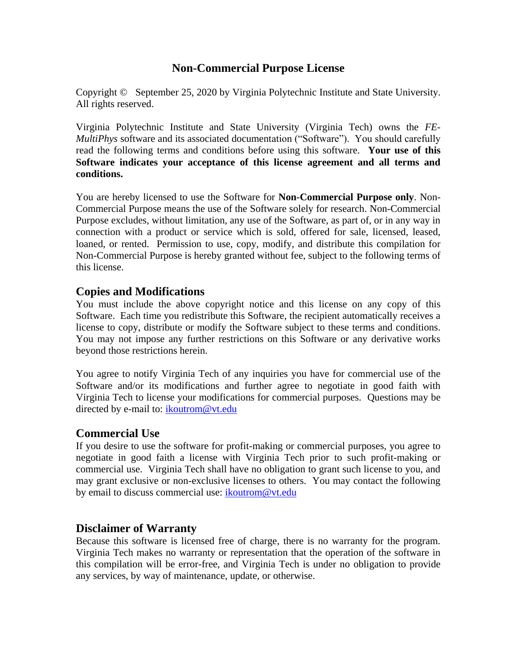## **Non-Commercial Purpose License**

Copyright © September 25, 2020 by Virginia Polytechnic Institute and State University. All rights reserved.

Virginia Polytechnic Institute and State University (Virginia Tech) owns the *FE-MultiPhys* software and its associated documentation ("Software"). You should carefully read the following terms and conditions before using this software. **Your use of this Software indicates your acceptance of this license agreement and all terms and conditions.** 

You are hereby licensed to use the Software for **Non-Commercial Purpose only**. Non-Commercial Purpose means the use of the Software solely for research. Non-Commercial Purpose excludes, without limitation, any use of the Software, as part of, or in any way in connection with a product or service which is sold, offered for sale, licensed, leased, loaned, or rented. Permission to use, copy, modify, and distribute this compilation for Non-Commercial Purpose is hereby granted without fee, subject to the following terms of this license.

### **Copies and Modifications**

You must include the above copyright notice and this license on any copy of this Software. Each time you redistribute this Software, the recipient automatically receives a license to copy, distribute or modify the Software subject to these terms and conditions. You may not impose any further restrictions on this Software or any derivative works beyond those restrictions herein.

You agree to notify Virginia Tech of any inquiries you have for commercial use of the Software and/or its modifications and further agree to negotiate in good faith with Virginia Tech to license your modifications for commercial purposes. Questions may be directed by e-mail to: [ikoutrom@vt.edu](mailto:ikoutrom@vt.edu)

#### **Commercial Use**

If you desire to use the software for profit-making or commercial purposes, you agree to negotiate in good faith a license with Virginia Tech prior to such profit-making or commercial use. Virginia Tech shall have no obligation to grant such license to you, and may grant exclusive or non-exclusive licenses to others. You may contact the following by email to discuss commercial use: [ikoutrom@vt.edu](mailto:ikoutrom@vt.edu)

### **Disclaimer of Warranty**

Because this software is licensed free of charge, there is no warranty for the program. Virginia Tech makes no warranty or representation that the operation of the software in this compilation will be error-free, and Virginia Tech is under no obligation to provide any services, by way of maintenance, update, or otherwise.